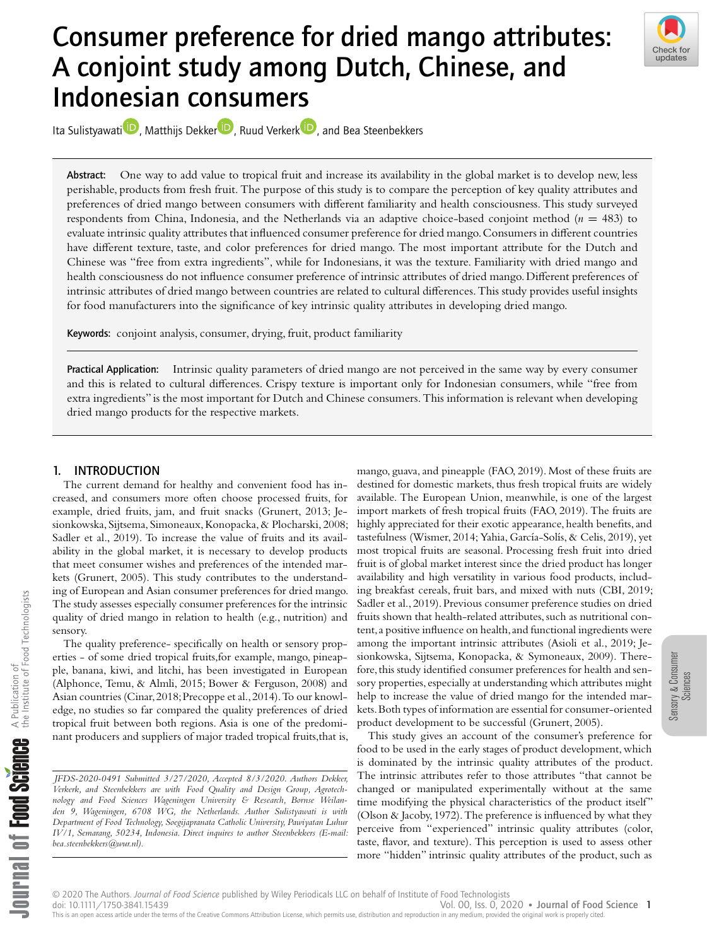# Consumer preference for dried mango attributes: A conjoint study among Dutch, Chinese, and Indonesian consumers



Ita Sul[i](https://orcid.org/0000-0003-2204-316X)styawati D[,](https://orcid.org/0000-0002-0063-4252) Matthijs De[k](https://orcid.org/0000-0003-3298-203X)ker D, Ruud Verkerk D, and Bea Steenbekkers

Abstract: One way to add value to tropical fruit and increase its availability in the global market is to develop new, less perishable, products from fresh fruit. The purpose of this study is to compare the perception of key quality attributes and preferences of dried mango between consumers with different familiarity and health consciousness. This study surveyed respondents from China, Indonesia, and the Netherlands via an adaptive choice-based conjoint method (*n* = 483) to evaluate intrinsic quality attributes that influenced consumer preference for dried mango.Consumers in different countries have different texture, taste, and color preferences for dried mango. The most important attribute for the Dutch and Chinese was "free from extra ingredients", while for Indonesians, it was the texture. Familiarity with dried mango and health consciousness do not influence consumer preference of intrinsic attributes of dried mango. Different preferences of intrinsic attributes of dried mango between countries are related to cultural differences.This study provides useful insights for food manufacturers into the significance of key intrinsic quality attributes in developing dried mango.

Keywords: conjoint analysis, consumer, drying, fruit, product familiarity

Practical Application: Intrinsic quality parameters of dried mango are not perceived in the same way by every consumer and this is related to cultural differences. Crispy texture is important only for Indonesian consumers, while "free from extra ingredients" is the most important for Dutch and Chinese consumers. This information is relevant when developing dried mango products for the respective markets.

# 1. INTRODUCTION

The current demand for healthy and convenient food has increased, and consumers more often choose processed fruits, for example, dried fruits, jam, and fruit snacks (Grunert, 2013; Jesionkowska, Sijtsema, Simoneaux, Konopacka, & Plocharski, 2008; Sadler et al., 2019). To increase the value of fruits and its availability in the global market, it is necessary to develop products that meet consumer wishes and preferences of the intended markets (Grunert, 2005). This study contributes to the understanding of European and Asian consumer preferences for dried mango. The study assesses especially consumer preferences for the intrinsic quality of dried mango in relation to health (e.g., nutrition) and sensory.

The quality preference- specifically on health or sensory properties - of some dried tropical fruits,for example, mango, pineapple, banana, kiwi, and litchi, has been investigated in European (Alphonce, Temu, & Almli, 2015; Bower & Ferguson, 2008) and Asian countries (Cinar,2018;Precoppe et al.,2014).To our knowledge, no studies so far compared the quality preferences of dried tropical fruit between both regions. Asia is one of the predominant producers and suppliers of major traded tropical fruits,that is,

*JFDS-2020-0491 Submitted 3/27/2020, Accepted 8/3/2020. Authors Dekker, Verkerk, and Steenbekkers are with Food Quality and Design Group, Agrotechnology and Food Sciences Wageningen University & Research, Bornse Weilanden 9, Wageningen, 6708 WG, the Netherlands. Author Sulistyawati is with Department of Food Technology, Soegijapranata Catholic University, Pawiyatan Luhur IV/1, Semarang, 50234, Indonesia. Direct inquires to author Steenbekkers (E-mail: bea.steenbekkers@wur.nl).*

mango, guava, and pineapple (FAO, 2019). Most of these fruits are destined for domestic markets, thus fresh tropical fruits are widely available. The European Union, meanwhile, is one of the largest import markets of fresh tropical fruits (FAO, 2019). The fruits are highly appreciated for their exotic appearance, health benefits, and tastefulness (Wismer, 2014; Yahia, García-Solís, & Celis, 2019), yet most tropical fruits are seasonal. Processing fresh fruit into dried fruit is of global market interest since the dried product has longer availability and high versatility in various food products, including breakfast cereals, fruit bars, and mixed with nuts (CBI, 2019; Sadler et al., 2019). Previous consumer preference studies on dried fruits shown that health-related attributes, such as nutritional content, a positive influence on health, and functional ingredients were among the important intrinsic attributes (Asioli et al., 2019; Jesionkowska, Sijtsema, Konopacka, & Symoneaux, 2009). Therefore,this study identified consumer preferences for health and sensory properties, especially at understanding which attributes might help to increase the value of dried mango for the intended markets.Both types of information are essential for consumer-oriented product development to be successful (Grunert, 2005).

This study gives an account of the consumer's preference for food to be used in the early stages of product development, which is dominated by the intrinsic quality attributes of the product. The intrinsic attributes refer to those attributes "that cannot be changed or manipulated experimentally without at the same time modifying the physical characteristics of the product itself" (Olson  $\&$  Jacoby, 1972). The preference is influenced by what they perceive from "experienced" intrinsic quality attributes (color, taste, flavor, and texture). This perception is used to assess other more "hidden" intrinsic quality attributes of the product, such as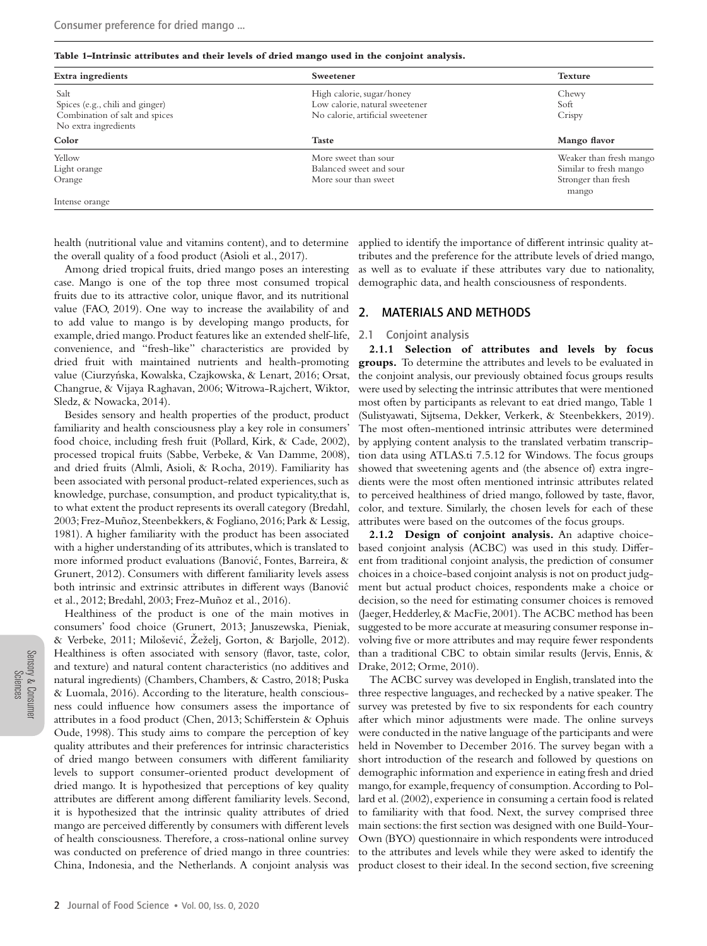#### **Table 1–Intrinsic attributes and their levels of dried mango used in the conjoint analysis.**

| Extra ingredients                                      | Sweetener                                                   | <b>Texture</b>               |
|--------------------------------------------------------|-------------------------------------------------------------|------------------------------|
| Salt<br>Spices (e.g., chili and ginger)                | High calorie, sugar/honey<br>Low calorie, natural sweetener | Chewy<br>Soft                |
| Combination of salt and spices<br>No extra ingredients | No calorie, artificial sweetener                            | Crispy                       |
| Color                                                  | <b>Taste</b>                                                | Mango flavor                 |
| Yellow                                                 | More sweet than sour                                        | Weaker than fresh mango      |
| Light orange                                           | Balanced sweet and sour                                     | Similar to fresh mango       |
| Orange                                                 | More sour than sweet                                        | Stronger than fresh<br>mango |
| Intense orange                                         |                                                             |                              |

health (nutritional value and vitamins content), and to determine the overall quality of a food product (Asioli et al., 2017).

Among dried tropical fruits, dried mango poses an interesting case. Mango is one of the top three most consumed tropical fruits due to its attractive color, unique flavor, and its nutritional value (FAO, 2019). One way to increase the availability of and to add value to mango is by developing mango products, for example, dried mango. Product features like an extended shelf-life, convenience, and "fresh-like" characteristics are provided by dried fruit with maintained nutrients and health-promoting value (Ciurzyńska, Kowalska, Czajkowska, & Lenart, 2016; Orsat, Changrue, & Vijaya Raghavan, 2006; Witrowa-Rajchert, Wiktor, Sledz, & Nowacka, 2014).

Besides sensory and health properties of the product, product familiarity and health consciousness play a key role in consumers' food choice, including fresh fruit (Pollard, Kirk, & Cade, 2002), processed tropical fruits (Sabbe, Verbeke, & Van Damme, 2008), and dried fruits (Almli, Asioli, & Rocha, 2019). Familiarity has been associated with personal product-related experiences, such as knowledge, purchase, consumption, and product typicality,that is, to what extent the product represents its overall category (Bredahl, 2003; Frez-Muñoz, Steenbekkers, & Fogliano, 2016; Park & Lessig, 1981). A higher familiarity with the product has been associated with a higher understanding of its attributes, which is translated to more informed product evaluations (Banovic, Fontes, Barreira, & ´ Grunert, 2012). Consumers with different familiarity levels assess both intrinsic and extrinsic attributes in different ways (Banovic´ et al., 2012; Bredahl, 2003; Frez-Muñoz et al., 2016).

Healthiness of the product is one of the main motives in consumers' food choice (Grunert, 2013; Januszewska, Pieniak, & Verbeke, 2011; Miloševic, Žeželj, Gorton, & Barjolle, 2012). ´ Healthiness is often associated with sensory (flavor, taste, color, and texture) and natural content characteristics (no additives and natural ingredients) (Chambers, Chambers, & Castro, 2018; Puska & Luomala, 2016). According to the literature, health consciousness could influence how consumers assess the importance of attributes in a food product (Chen, 2013; Schifferstein & Ophuis Oude, 1998). This study aims to compare the perception of key quality attributes and their preferences for intrinsic characteristics of dried mango between consumers with different familiarity levels to support consumer-oriented product development of dried mango. It is hypothesized that perceptions of key quality attributes are different among different familiarity levels. Second, it is hypothesized that the intrinsic quality attributes of dried mango are perceived differently by consumers with different levels of health consciousness. Therefore, a cross-national online survey was conducted on preference of dried mango in three countries: China, Indonesia, and the Netherlands. A conjoint analysis was

applied to identify the importance of different intrinsic quality attributes and the preference for the attribute levels of dried mango, as well as to evaluate if these attributes vary due to nationality, demographic data, and health consciousness of respondents.

## 2. MATERIALS AND METHODS

#### 2.1 Conjoint analysis

**2.1.1 Selection of attributes and levels by focus groups.** To determine the attributes and levels to be evaluated in the conjoint analysis, our previously obtained focus groups results were used by selecting the intrinsic attributes that were mentioned most often by participants as relevant to eat dried mango, Table 1 (Sulistyawati, Sijtsema, Dekker, Verkerk, & Steenbekkers, 2019). The most often-mentioned intrinsic attributes were determined by applying content analysis to the translated verbatim transcription data using ATLAS.ti 7.5.12 for Windows. The focus groups showed that sweetening agents and (the absence of) extra ingredients were the most often mentioned intrinsic attributes related to perceived healthiness of dried mango, followed by taste, flavor, color, and texture. Similarly, the chosen levels for each of these attributes were based on the outcomes of the focus groups.

**2.1.2 Design of conjoint analysis.** An adaptive choicebased conjoint analysis (ACBC) was used in this study. Different from traditional conjoint analysis, the prediction of consumer choices in a choice-based conjoint analysis is not on product judgment but actual product choices, respondents make a choice or decision, so the need for estimating consumer choices is removed (Jaeger, Hedderley, & MacFie, 2001). The ACBC method has been suggested to be more accurate at measuring consumer response involving five or more attributes and may require fewer respondents than a traditional CBC to obtain similar results (Jervis, Ennis, & Drake, 2012; Orme, 2010).

The ACBC survey was developed in English, translated into the three respective languages, and rechecked by a native speaker. The survey was pretested by five to six respondents for each country after which minor adjustments were made. The online surveys were conducted in the native language of the participants and were held in November to December 2016. The survey began with a short introduction of the research and followed by questions on demographic information and experience in eating fresh and dried mango, for example, frequency of consumption. According to Pollard et al. (2002), experience in consuming a certain food is related to familiarity with that food. Next, the survey comprised three main sections:the first section was designed with one Build-Your-Own (BYO) questionnaire in which respondents were introduced to the attributes and levels while they were asked to identify the product closest to their ideal. In the second section, five screening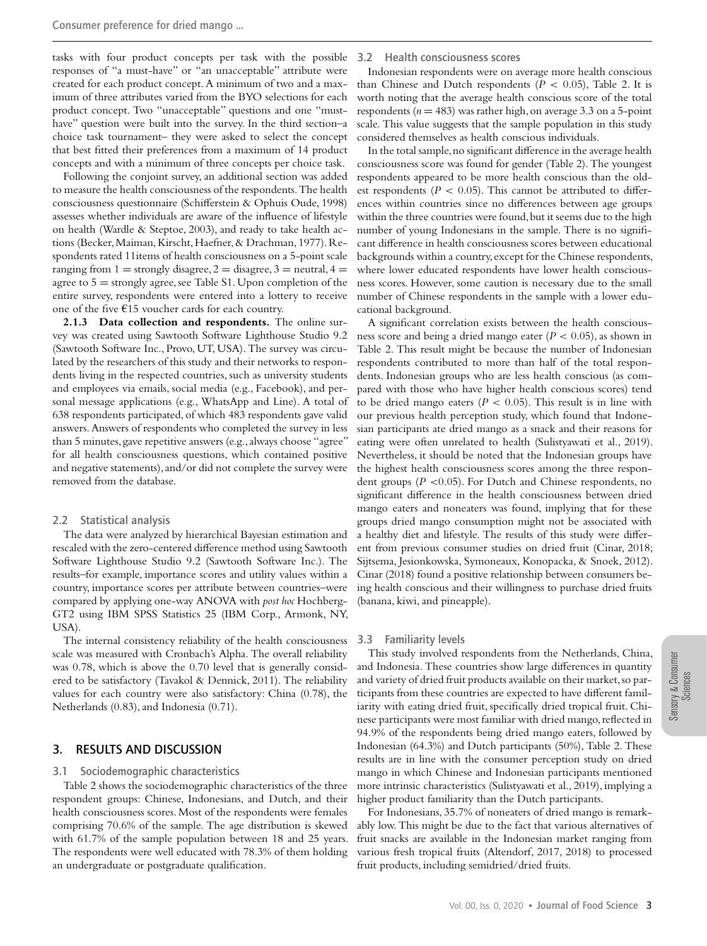tasks with four product concepts per task with the possible responses of "a must-have" or "an unacceptable" attribute were created for each product concept. A minimum of two and a maximum of three attributes varied from the BYO selections for each product concept. Two "unacceptable" questions and one "musthave" question were built into the survey. In the third section–a choice task tournament– they were asked to select the concept that best fitted their preferences from a maximum of 14 product concepts and with a minimum of three concepts per choice task.

Following the conjoint survey, an additional section was added to measure the health consciousness of the respondents.The health consciousness questionnaire (Schifferstein & Ophuis Oude, 1998) assesses whether individuals are aware of the influence of lifestyle on health (Wardle & Steptoe, 2003), and ready to take health actions (Becker, Maiman, Kirscht, Haefner, & Drachman, 1977). Respondents rated 11items of health consciousness on a 5-point scale ranging from  $1 =$  strongly disagree,  $2 =$  disagree,  $3 =$  neutral,  $4 =$ agree to  $5 =$  strongly agree, see Table S1. Upon completion of the entire survey, respondents were entered into a lottery to receive one of the five €15 voucher cards for each country.

**2.1.3 Data collection and respondents.** The online survey was created using Sawtooth Software Lighthouse Studio 9.2 (Sawtooth Software Inc., Provo, UT, USA). The survey was circulated by the researchers of this study and their networks to respondents living in the respected countries, such as university students and employees via emails, social media (e.g., Facebook), and personal message applications (e.g., WhatsApp and Line). A total of 638 respondents participated, of which 483 respondents gave valid answers. Answers of respondents who completed the survey in less than 5 minutes, gave repetitive answers (e.g., always choose "agree" for all health consciousness questions, which contained positive and negative statements), and/or did not complete the survey were removed from the database.

#### 2.2 Statistical analysis

The data were analyzed by hierarchical Bayesian estimation and rescaled with the zero-centered difference method using Sawtooth Software Lighthouse Studio 9.2 (Sawtooth Software Inc.). The results–for example, importance scores and utility values within a country, importance scores per attribute between countries–were compared by applying one-way ANOVA with *post hoc* Hochberg-GT2 using IBM SPSS Statistics 25 (IBM Corp., Armonk, NY, USA).

The internal consistency reliability of the health consciousness scale was measured with Cronbach's Alpha. The overall reliability was 0.78, which is above the 0.70 level that is generally considered to be satisfactory (Tavakol & Dennick, 2011). The reliability values for each country were also satisfactory: China (0.78), the Netherlands (0.83), and Indonesia (0.71).

### 3. RESULTS AND DISCUSSION

#### 3.1 Sociodemographic characteristics

Table 2 shows the sociodemographic characteristics of the three respondent groups: Chinese, Indonesians, and Dutch, and their health consciousness scores. Most of the respondents were females comprising 70.6% of the sample. The age distribution is skewed with 61.7% of the sample population between 18 and 25 years. The respondents were well educated with 78.3% of them holding an undergraduate or postgraduate qualification.

#### 3.2 Health consciousness scores

Indonesian respondents were on average more health conscious than Chinese and Dutch respondents ( $P < 0.05$ ), Table 2. It is worth noting that the average health conscious score of the total respondents (*n* = 483) was rather high, on average 3.3 on a 5-point scale. This value suggests that the sample population in this study considered themselves as health conscious individuals.

In the total sample,no significant difference in the average health consciousness score was found for gender (Table 2). The youngest respondents appeared to be more health conscious than the oldest respondents ( $P < 0.05$ ). This cannot be attributed to differences within countries since no differences between age groups within the three countries were found, but it seems due to the high number of young Indonesians in the sample. There is no significant difference in health consciousness scores between educational backgrounds within a country,except for the Chinese respondents, where lower educated respondents have lower health consciousness scores. However, some caution is necessary due to the small number of Chinese respondents in the sample with a lower educational background.

A significant correlation exists between the health consciousness score and being a dried mango eater (*P <* 0.05), as shown in Table 2. This result might be because the number of Indonesian respondents contributed to more than half of the total respondents. Indonesian groups who are less health conscious (as compared with those who have higher health conscious scores) tend to be dried mango eaters  $(P < 0.05)$ . This result is in line with our previous health perception study, which found that Indonesian participants ate dried mango as a snack and their reasons for eating were often unrelated to health (Sulistyawati et al., 2019). Nevertheless, it should be noted that the Indonesian groups have the highest health consciousness scores among the three respondent groups (*P <*0.05). For Dutch and Chinese respondents, no significant difference in the health consciousness between dried mango eaters and noneaters was found, implying that for these groups dried mango consumption might not be associated with a healthy diet and lifestyle. The results of this study were different from previous consumer studies on dried fruit (Cinar, 2018; Sijtsema, Jesionkowska, Symoneaux, Konopacka, & Snoek, 2012). Cinar (2018) found a positive relationship between consumers being health conscious and their willingness to purchase dried fruits (banana, kiwi, and pineapple).

#### 3.3 Familiarity levels

This study involved respondents from the Netherlands, China, and Indonesia. These countries show large differences in quantity and variety of dried fruit products available on their market, so participants from these countries are expected to have different familiarity with eating dried fruit, specifically dried tropical fruit. Chinese participants were most familiar with dried mango, reflected in 94.9% of the respondents being dried mango eaters, followed by Indonesian (64.3%) and Dutch participants (50%), Table 2. These results are in line with the consumer perception study on dried mango in which Chinese and Indonesian participants mentioned more intrinsic characteristics (Sulistyawati et al., 2019), implying a higher product familiarity than the Dutch participants.

For Indonesians, 35.7% of noneaters of dried mango is remarkably low. This might be due to the fact that various alternatives of fruit snacks are available in the Indonesian market ranging from various fresh tropical fruits (Altendorf, 2017, 2018) to processed fruit products, including semidried/dried fruits.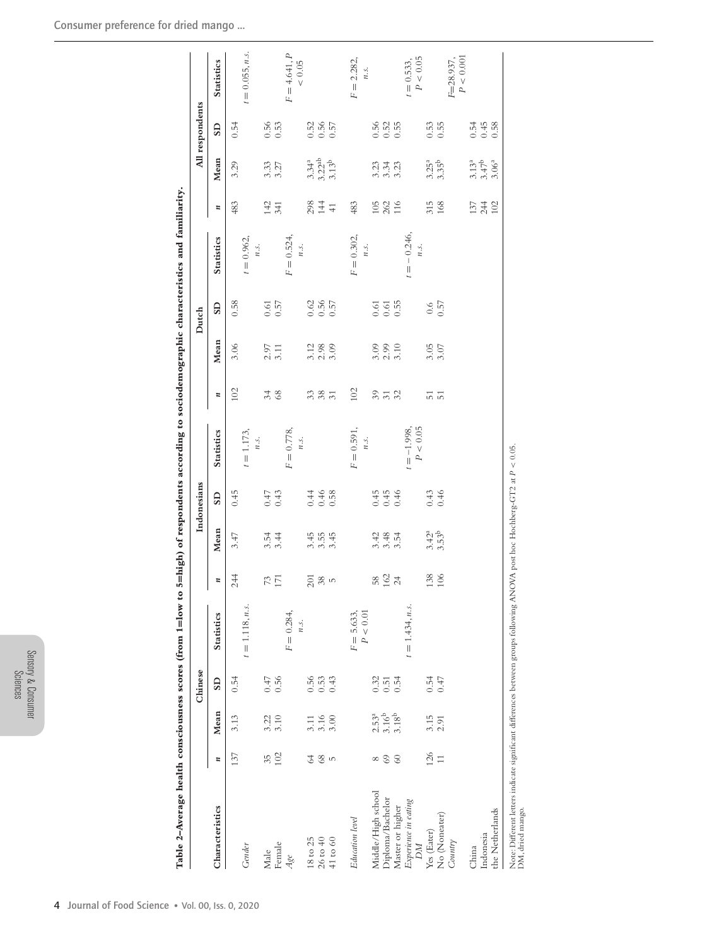| ř<br>٠<br>ğ |
|-------------|
| ă<br>٠<br>٠ |

| i<br>I                                                    |
|-----------------------------------------------------------|
|                                                           |
| ׇ֚֘֝֬<br>ׇ֚֘<br>֖֖֖֖֧֖֖֚֚֚֚֚֚֚֚֚֚֚֚֚֚֚֚֚֚֚֚֚֚֚֚֚֚֚֚֚֚֚֚֬֝ |
| $\frac{1}{2}$<br>ׇ֚֘֝֡                                    |

|                            |                    |                               | Chinese               |                      |                                |                                 | Indonesians    |                                |                             |                            | Dutch                                |                        |                  |                                        | All respondents       |                                            |
|----------------------------|--------------------|-------------------------------|-----------------------|----------------------|--------------------------------|---------------------------------|----------------|--------------------------------|-----------------------------|----------------------------|--------------------------------------|------------------------|------------------|----------------------------------------|-----------------------|--------------------------------------------|
| Characteristics            | $\boldsymbol{r}$   | Mean                          | $\overline{\text{S}}$ | <b>Statistics</b>    | $\overline{u}$                 | Mean                            | <b>GIS</b>     | <b>Statistics</b>              | $\boldsymbol{u}$            | Mean                       | <b>GIS</b>                           | <b>Statistics</b>      | $\boldsymbol{u}$ | Mean                                   | $\overline{\text{S}}$ | <b>Statistics</b>                          |
|                            | 137                | 3.13                          | 0.54                  |                      | 244                            | 3.47                            | 0.45           |                                | 102                         | 3.06                       | 0.58                                 |                        | 483              | 3.29                                   | 0.54                  |                                            |
| Gender                     |                    |                               |                       | $t = 1.118, n.s.$    |                                |                                 |                | $t = 1.173,$<br>$n_{.5}$ .     |                             |                            |                                      | $= 0.962$<br>n.s.      |                  |                                        |                       | $t = 0.055, n.s.$                          |
| Male                       | 35                 | 3.22                          | 0.47                  |                      | 73                             | $3.54$<br>$3.44$                | 0.47           |                                | 34                          |                            | 0.61                                 |                        | 142              | 3.33                                   | 0.56                  |                                            |
| Female                     | 102                | 3.10                          | 0.56                  |                      |                                |                                 | 0.43           |                                |                             | $2.97$<br>$3.11$           | 0.57                                 |                        | 341              | 3.27                                   | 0.53                  |                                            |
| Age                        |                    |                               |                       | $F = 0.284,$<br>n.s. |                                |                                 |                | $F = 0.778$ ,<br>$n_{\cdot}$ . |                             |                            |                                      | $F = 0.524,$<br>n.s.   |                  |                                        |                       | $= 4.641, P$<br>$< 0.05$<br>F              |
| 18 to 25                   | 64                 |                               | 0.56                  |                      |                                |                                 |                |                                |                             |                            |                                      |                        |                  |                                        |                       |                                            |
| $26$ to $40$               | $^{68}$            | $3.11$<br>$3.16$<br>$3.00$    | 0.53                  |                      | $\frac{5}{3}$ $\frac{8}{5}$ in | $\frac{45}{36}$ $\frac{45}{36}$ | $0.46$<br>0.58 |                                | 383                         | $3.12$<br>$2.30$<br>$3.09$ | 3<br>3<br>3<br>3<br>5<br>3<br>5<br>3 |                        | $284$<br>$41$    | $3.34^a$<br>$3.22^{ab}$<br>$3.13^b$    | $0.55$<br>$0.57$      |                                            |
| $41$ to $60$               | $\mathsf{L}\Omega$ |                               | 0.43                  |                      |                                |                                 |                |                                |                             |                            |                                      |                        |                  |                                        |                       |                                            |
| Education level            |                    |                               |                       | $F = 5.633,$         |                                |                                 |                | $= 0.591,$<br>$\overline{L}$   | 102                         |                            |                                      | $F = 0.302,$           | 483              |                                        |                       | $F = 2.282,$                               |
|                            |                    |                               |                       | $P < 0.01$           |                                |                                 |                | n.s.                           |                             |                            |                                      | n.s.                   |                  |                                        |                       | n.s.                                       |
| Middle/High school         | $^{\circ}$         |                               | 0.32                  |                      |                                | 3.42                            | 0.45           |                                | 39                          | 3.09                       | 0.61                                 |                        | 105              |                                        | 0.56                  |                                            |
| Diploma/Bachelor           | $69$               | $2.53a$<br>$3.18b$<br>$3.18b$ | 0.51                  |                      | $58$ $162$                     | 3.54                            | 0.45           |                                | $\overline{32}$             | $2.99$<br>$3.10$           | $0.61$<br>$0.55$                     |                        | 262<br>116       | ದ್ದಿ ಸ್ವೆ<br>ಇ ಇ ಇ                     | $0.52$<br>$0.55$      |                                            |
| Master or higher           | 60                 |                               | 0.54                  |                      |                                |                                 | 0.46           |                                |                             |                            |                                      |                        |                  |                                        |                       |                                            |
| Experience in eating<br>DМ |                    |                               |                       | $t = 1.434, n.s.$    |                                |                                 |                | $< 0.05$<br>$=-1.998$<br>P     |                             |                            |                                      | $=$ $-$ 0.246,<br>n.s. |                  |                                        |                       | $\sim 0.05$<br>$= 0.533,$<br>$\mathcal{L}$ |
| Yes (Eater)                | 126                | 3.15                          | 0.54                  |                      | 138                            | $3.42^a$<br>$3.53^b$            | $0.43$<br>0.46 |                                | $\frac{1}{5}$ $\frac{1}{1}$ | $3.05$<br>$3.07$           | 0.6                                  |                        | 315              | $3.25^a$<br>$3.35^b$                   | 0.53                  |                                            |
| No (Noneater)              | $\overline{1}$     | 2.91                          | 0.47                  |                      | 106                            |                                 |                |                                |                             |                            | 0.57                                 |                        | 168              |                                        | 0.55                  |                                            |
| Country                    |                    |                               |                       |                      |                                |                                 |                |                                |                             |                            |                                      |                        |                  |                                        |                       | P < 0.001<br>F=28.937,                     |
| China                      |                    |                               |                       |                      |                                |                                 |                |                                |                             |                            |                                      |                        |                  |                                        |                       |                                            |
| Indonesia                  |                    |                               |                       |                      |                                |                                 |                |                                |                             |                            |                                      |                        | $\frac{27}{240}$ | $3.13^{a}$<br>$3.47^{b}$<br>$3.06^{a}$ | $0.54$<br>$0.38$      |                                            |
| the Netherlands            |                    |                               |                       |                      |                                |                                 |                |                                |                             |                            |                                      |                        |                  |                                        |                       |                                            |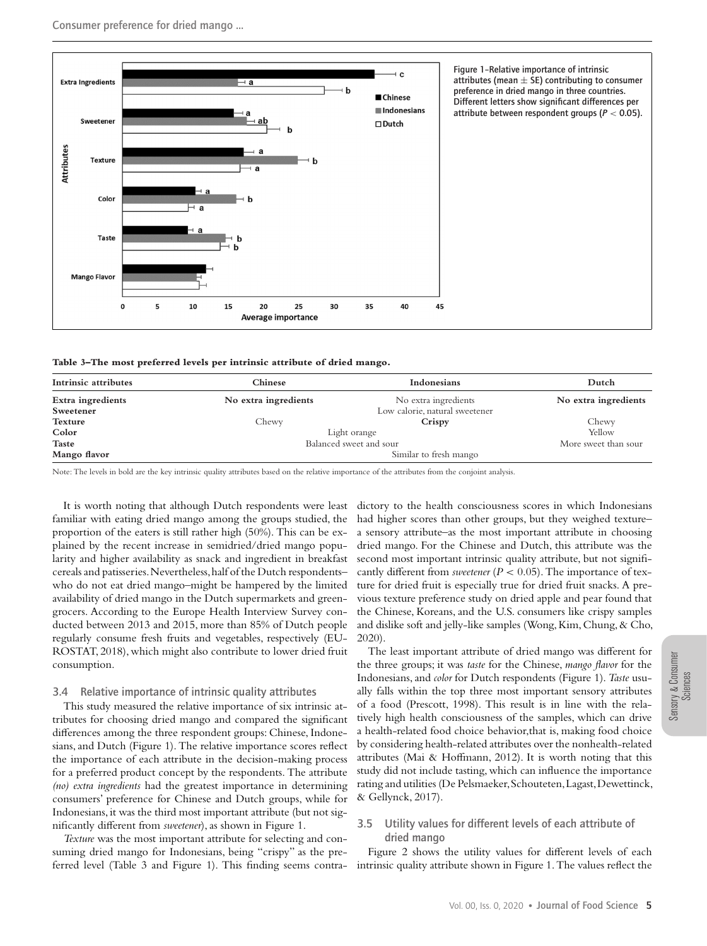

**Table 3–The most preferred levels per intrinsic attribute of dried mango.**

| Intrinsic attributes | Chinese                 | Indonesians                    | Dutch                |
|----------------------|-------------------------|--------------------------------|----------------------|
| Extra ingredients    | No extra ingredients    | No extra ingredients           | No extra ingredients |
| Sweetener            |                         | Low calorie, natural sweetener |                      |
| Texture              | Chewy                   | Crispy                         | Chewy                |
| Color                |                         | Light orange                   | Yellow               |
| <b>Taste</b>         | Balanced sweet and sour |                                | More sweet than sour |
| Mango flavor         |                         | Similar to fresh mango         |                      |

Note: The levels in bold are the key intrinsic quality attributes based on the relative importance of the attributes from the conjoint analysis.

It is worth noting that although Dutch respondents were least familiar with eating dried mango among the groups studied, the proportion of the eaters is still rather high (50%). This can be explained by the recent increase in semidried/dried mango popularity and higher availability as snack and ingredient in breakfast cereals and patisseries.Nevertheless,half of the Dutch respondents– who do not eat dried mango–might be hampered by the limited availability of dried mango in the Dutch supermarkets and greengrocers. According to the Europe Health Interview Survey conducted between 2013 and 2015, more than 85% of Dutch people regularly consume fresh fruits and vegetables, respectively (EU-ROSTAT, 2018), which might also contribute to lower dried fruit consumption.

## 3.4 Relative importance of intrinsic quality attributes

This study measured the relative importance of six intrinsic attributes for choosing dried mango and compared the significant differences among the three respondent groups: Chinese, Indonesians, and Dutch (Figure 1). The relative importance scores reflect the importance of each attribute in the decision-making process for a preferred product concept by the respondents. The attribute *(no) extra ingredients* had the greatest importance in determining consumers' preference for Chinese and Dutch groups, while for Indonesians, it was the third most important attribute (but not significantly different from *sweetener*), as shown in Figure 1.

*Texture* was the most important attribute for selecting and consuming dried mango for Indonesians, being "crispy" as the preferred level (Table 3 and Figure 1). This finding seems contra-

dictory to the health consciousness scores in which Indonesians had higher scores than other groups, but they weighed texture– a sensory attribute–as the most important attribute in choosing dried mango. For the Chinese and Dutch, this attribute was the second most important intrinsic quality attribute, but not significantly different from *sweetener* ( $P < 0.05$ ). The importance of texture for dried fruit is especially true for dried fruit snacks. A previous texture preference study on dried apple and pear found that the Chinese, Koreans, and the U.S. consumers like crispy samples and dislike soft and jelly-like samples (Wong,Kim, Chung, & Cho, 2020).

The least important attribute of dried mango was different for the three groups; it was *taste* for the Chinese, *mango flavor* for the Indonesians, and *color* for Dutch respondents (Figure 1). *Taste* usually falls within the top three most important sensory attributes of a food (Prescott, 1998). This result is in line with the relatively high health consciousness of the samples, which can drive a health-related food choice behavior,that is, making food choice by considering health-related attributes over the nonhealth-related attributes (Mai & Hoffmann, 2012). It is worth noting that this study did not include tasting, which can influence the importance rating and utilities (De Pelsmaeker,Schouteten,Lagast,Dewettinck, & Gellynck, 2017).

## 3.5 Utility values for different levels of each attribute of dried mango

Figure 2 shows the utility values for different levels of each intrinsic quality attribute shown in Figure 1.The values reflect the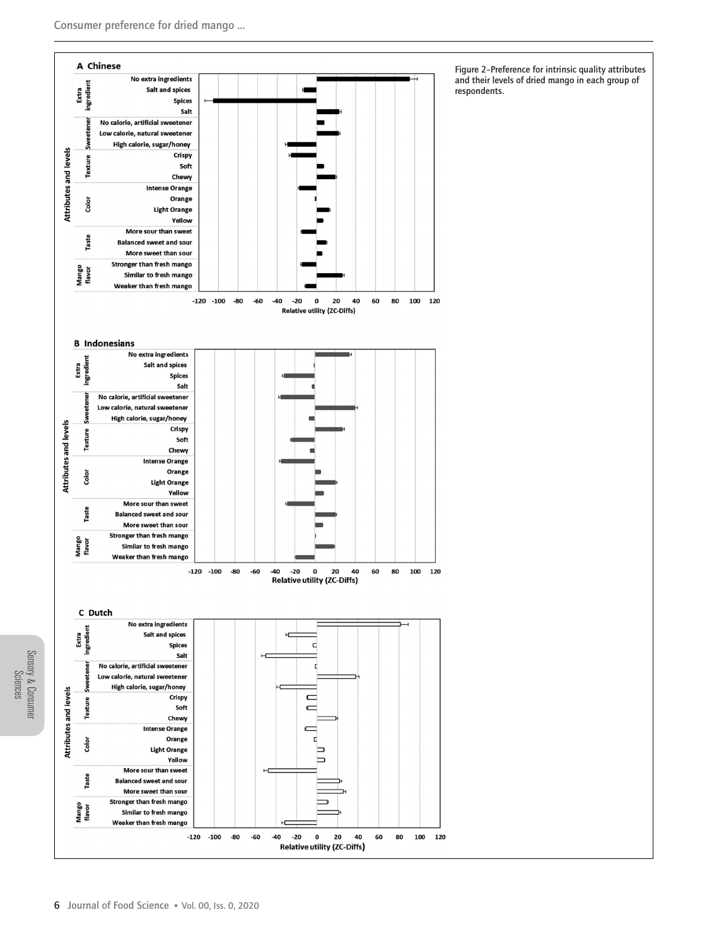

Figure 2–Preference for intrinsic quality attributes and their levels of dried mango in each group of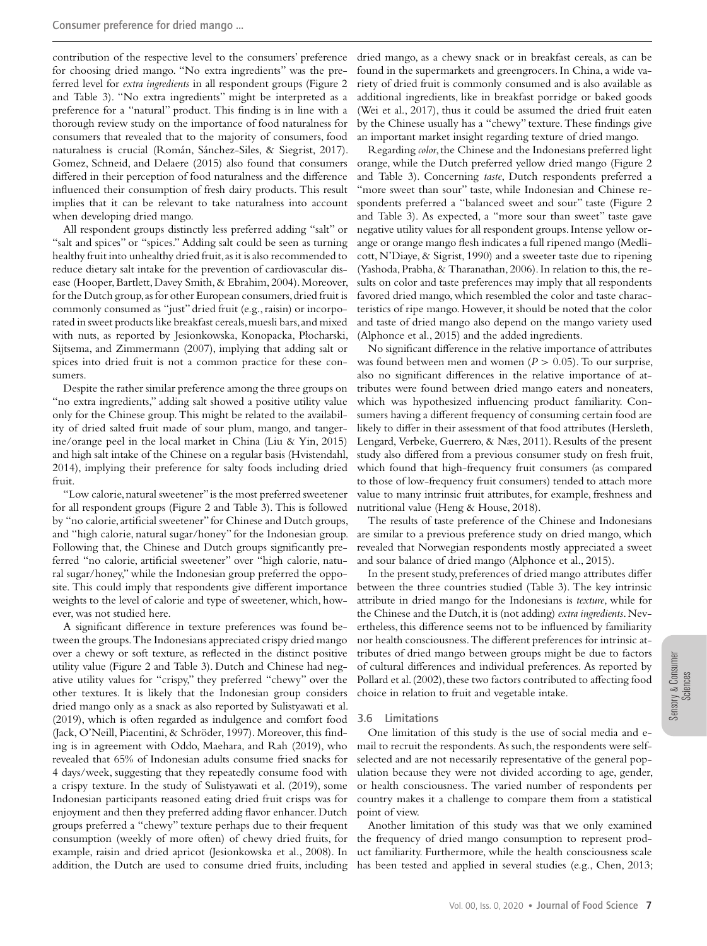contribution of the respective level to the consumers' preference for choosing dried mango. "No extra ingredients" was the preferred level for *extra ingredients* in all respondent groups (Figure 2 and Table 3). "No extra ingredients" might be interpreted as a preference for a "natural" product. This finding is in line with a thorough review study on the importance of food naturalness for consumers that revealed that to the majority of consumers, food naturalness is crucial (Román, Sánchez-Siles, & Siegrist, 2017). Gomez, Schneid, and Delaere (2015) also found that consumers differed in their perception of food naturalness and the difference influenced their consumption of fresh dairy products. This result implies that it can be relevant to take naturalness into account when developing dried mango.

All respondent groups distinctly less preferred adding "salt" or "salt and spices" or "spices." Adding salt could be seen as turning healthy fruit into unhealthy dried fruit, as it is also recommended to reduce dietary salt intake for the prevention of cardiovascular disease (Hooper, Bartlett, Davey Smith, & Ebrahim, 2004). Moreover, for the Dutch group, as for other European consumers, dried fruit is commonly consumed as "just" dried fruit (e.g., raisin) or incorporated in sweet products like breakfast cereals,muesli bars,and mixed with nuts, as reported by Jesionkowska, Konopacka, Płocharski, Sijtsema, and Zimmermann (2007), implying that adding salt or spices into dried fruit is not a common practice for these consumers.

Despite the rather similar preference among the three groups on "no extra ingredients," adding salt showed a positive utility value only for the Chinese group. This might be related to the availability of dried salted fruit made of sour plum, mango, and tangerine/orange peel in the local market in China (Liu & Yin, 2015) and high salt intake of the Chinese on a regular basis (Hvistendahl, 2014), implying their preference for salty foods including dried fruit.

"Low calorie, natural sweetener"is the most preferred sweetener for all respondent groups (Figure 2 and Table 3). This is followed by "no calorie, artificial sweetener" for Chinese and Dutch groups, and "high calorie, natural sugar/honey" for the Indonesian group. Following that, the Chinese and Dutch groups significantly preferred "no calorie, artificial sweetener" over "high calorie, natural sugar/honey," while the Indonesian group preferred the opposite. This could imply that respondents give different importance weights to the level of calorie and type of sweetener, which, however, was not studied here.

A significant difference in texture preferences was found between the groups.The Indonesians appreciated crispy dried mango over a chewy or soft texture, as reflected in the distinct positive utility value (Figure 2 and Table 3). Dutch and Chinese had negative utility values for "crispy," they preferred "chewy" over the other textures. It is likely that the Indonesian group considers dried mango only as a snack as also reported by Sulistyawati et al. (2019), which is often regarded as indulgence and comfort food (Jack, O'Neill, Piacentini, & Schröder, 1997). Moreover, this finding is in agreement with Oddo, Maehara, and Rah (2019), who revealed that 65% of Indonesian adults consume fried snacks for 4 days/week, suggesting that they repeatedly consume food with a crispy texture. In the study of Sulistyawati et al. (2019), some Indonesian participants reasoned eating dried fruit crisps was for enjoyment and then they preferred adding flavor enhancer. Dutch groups preferred a "chewy" texture perhaps due to their frequent consumption (weekly of more often) of chewy dried fruits, for example, raisin and dried apricot (Jesionkowska et al., 2008). In addition, the Dutch are used to consume dried fruits, including

dried mango, as a chewy snack or in breakfast cereals, as can be found in the supermarkets and greengrocers. In China, a wide variety of dried fruit is commonly consumed and is also available as additional ingredients, like in breakfast porridge or baked goods (Wei et al., 2017), thus it could be assumed the dried fruit eaten by the Chinese usually has a "chewy" texture. These findings give an important market insight regarding texture of dried mango.

Regarding *color*,the Chinese and the Indonesians preferred light orange, while the Dutch preferred yellow dried mango (Figure 2 and Table 3). Concerning *taste*, Dutch respondents preferred a "more sweet than sour" taste, while Indonesian and Chinese respondents preferred a "balanced sweet and sour" taste (Figure 2 and Table 3). As expected, a "more sour than sweet" taste gave negative utility values for all respondent groups. Intense yellow orange or orange mango flesh indicates a full ripened mango (Medlicott, N'Diaye, & Sigrist, 1990) and a sweeter taste due to ripening (Yashoda, Prabha, & Tharanathan, 2006). In relation to this, the results on color and taste preferences may imply that all respondents favored dried mango, which resembled the color and taste characteristics of ripe mango. However, it should be noted that the color and taste of dried mango also depend on the mango variety used (Alphonce et al., 2015) and the added ingredients.

No significant difference in the relative importance of attributes was found between men and women ( $P > 0.05$ ). To our surprise, also no significant differences in the relative importance of attributes were found between dried mango eaters and noneaters, which was hypothesized influencing product familiarity. Consumers having a different frequency of consuming certain food are likely to differ in their assessment of that food attributes (Hersleth, Lengard, Verbeke, Guerrero, & Næs, 2011). Results of the present study also differed from a previous consumer study on fresh fruit, which found that high-frequency fruit consumers (as compared to those of low-frequency fruit consumers) tended to attach more value to many intrinsic fruit attributes, for example, freshness and nutritional value (Heng & House, 2018).

The results of taste preference of the Chinese and Indonesians are similar to a previous preference study on dried mango, which revealed that Norwegian respondents mostly appreciated a sweet and sour balance of dried mango (Alphonce et al., 2015).

In the present study, preferences of dried mango attributes differ between the three countries studied (Table 3). The key intrinsic attribute in dried mango for the Indonesians is *texture*, while for the Chinese and the Dutch,it is (not adding) *extra ingredients*.Nevertheless, this difference seems not to be influenced by familiarity nor health consciousness.The different preferences for intrinsic attributes of dried mango between groups might be due to factors of cultural differences and individual preferences. As reported by Pollard et al. (2002), these two factors contributed to affecting food choice in relation to fruit and vegetable intake.

#### 3.6 Limitations

One limitation of this study is the use of social media and email to recruit the respondents. As such, the respondents were selfselected and are not necessarily representative of the general population because they were not divided according to age, gender, or health consciousness. The varied number of respondents per country makes it a challenge to compare them from a statistical point of view.

Another limitation of this study was that we only examined the frequency of dried mango consumption to represent product familiarity. Furthermore, while the health consciousness scale has been tested and applied in several studies (e.g., Chen, 2013;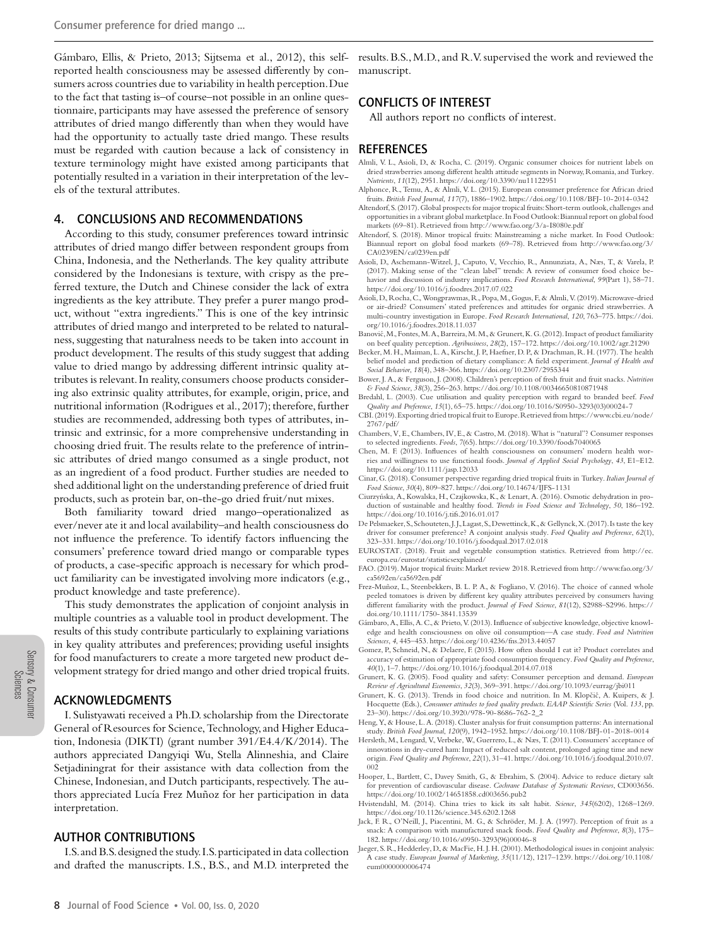Gámbaro, Ellis, & Prieto, 2013; Sijtsema et al., 2012), this selfreported health consciousness may be assessed differently by consumers across countries due to variability in health perception.Due to the fact that tasting is–of course–not possible in an online questionnaire, participants may have assessed the preference of sensory attributes of dried mango differently than when they would have had the opportunity to actually taste dried mango. These results must be regarded with caution because a lack of consistency in texture terminology might have existed among participants that potentially resulted in a variation in their interpretation of the levels of the textural attributes.

# 4. CONCLUSIONS AND RECOMMENDATIONS

According to this study, consumer preferences toward intrinsic attributes of dried mango differ between respondent groups from China, Indonesia, and the Netherlands. The key quality attribute considered by the Indonesians is texture, with crispy as the preferred texture, the Dutch and Chinese consider the lack of extra ingredients as the key attribute. They prefer a purer mango product, without "extra ingredients." This is one of the key intrinsic attributes of dried mango and interpreted to be related to naturalness, suggesting that naturalness needs to be taken into account in product development. The results of this study suggest that adding value to dried mango by addressing different intrinsic quality attributes is relevant. In reality, consumers choose products considering also extrinsic quality attributes, for example, origin, price, and nutritional information (Rodrigues et al., 2017); therefore, further studies are recommended, addressing both types of attributes, intrinsic and extrinsic, for a more comprehensive understanding in choosing dried fruit. The results relate to the preference of intrinsic attributes of dried mango consumed as a single product, not as an ingredient of a food product. Further studies are needed to shed additional light on the understanding preference of dried fruit products, such as protein bar, on-the-go dried fruit/nut mixes.

Both familiarity toward dried mango–operationalized as ever/never ate it and local availability–and health consciousness do not influence the preference. To identify factors influencing the consumers' preference toward dried mango or comparable types of products, a case-specific approach is necessary for which product familiarity can be investigated involving more indicators (e.g., product knowledge and taste preference).

This study demonstrates the application of conjoint analysis in multiple countries as a valuable tool in product development. The results of this study contribute particularly to explaining variations in key quality attributes and preferences; providing useful insights for food manufacturers to create a more targeted new product development strategy for dried mango and other dried tropical fruits.

## ACKNOWLEDGMENTS

I. Sulistyawati received a Ph.D. scholarship from the Directorate General of Resources for Science,Technology, and Higher Education, Indonesia (DIKTI) (grant number 391/E4.4/K/2014). The authors appreciated Dangyiqi Wu, Stella Alinneshia, and Claire Setjadiningrat for their assistance with data collection from the Chinese, Indonesian, and Dutch participants, respectively. The authors appreciated Lucía Frez Muñoz for her participation in data interpretation.

## AUTHOR CONTRIBUTIONS

I.S.and B.S.designed the study. I.S.participated in data collection and drafted the manuscripts. I.S., B.S., and M.D. interpreted the

results. B.S.,M.D., and R.V. supervised the work and reviewed the manuscript.

# CONFLICTS OF INTEREST

All authors report no conflicts of interest.

### REFERENCES

- Almli, V. L., Asioli, D., & Rocha, C. (2019). Organic consumer choices for nutrient labels on dried strawberries among different health attitude segments in Norway, Romania, and Turkey. *Nutrients*, *11*(12), 2951.<https://doi.org/10.3390/nu11122951>
- Alphonce, R., Temu, A., & Almli, V. L. (2015). European consumer preference for African dried fruits. *British Food Journal*, *117*(7), 1886–1902.<https://doi.org/10.1108/BFJ-10-2014-0342>
- Altendorf,S. (2017).Global prospects for major tropical fruits:Short-term outlook, challenges and opportunities in a vibrant global marketplace. In Food Outlook:Biannual report on global food markets (69–81). Retrieved from<http://www.fao.org/3/a-I8080e.pdf>
- Altendorf, S. (2018). Minor tropical fruits: Mainstreaming a niche market. In Food Outlook: Biannual report on global food markets (69–78). Retrieved from [http://www.fao.org/3/](http://www.fao.org/3/CA0239EN/ca0239en.pdf) [CA0239EN/ca0239en.pdf](http://www.fao.org/3/CA0239EN/ca0239en.pdf)
- Asioli, D., Aschemann-Witzel, J., Caputo, V., Vecchio, R., Annunziata, A., Næs, T., & Varela, P. (2017). Making sense of the "clean label" trends: A review of consumer food choice behavior and discussion of industry implications. *Food Research International*, *99*(Part 1), 58–71. <https://doi.org/10.1016/j.foodres.2017.07.022>
- Asioli, D., Rocha, C.,Wongprawmas, R., Popa,M., Gogus, F., & Almli, V. (2019).Microwave-dried or air-dried? Consumers' stated preferences and attitudes for organic dried strawberries. A multi-country investigation in Europe. *Food Research International*, *120*, 763–775. [https://doi.](https://doi.org/10.1016/j.foodres.2018.11.037) [org/10.1016/j.foodres.2018.11.037](https://doi.org/10.1016/j.foodres.2018.11.037)
- Banović, M., Fontes, M. A., Barreira, M. M., & Grunert, K. G. (2012). Impact of product familiarity on beef quality perception. *Agribusiness*, *28*(2), 157–172.<https://doi.org/10.1002/agr.21290>
- Becker, M. H., Maiman, L. A., Kirscht, J. P., Haefner, D. P., & Drachman, R. H. (1977). The health belief model and prediction of dietary compliance: A field experiment. *Journal of Health and Social Behavior*, *18*(4), 348–366.<https://doi.org/10.2307/2955344>
- Bower, J. A., & Ferguson, J. (2008). Children's perception of fresh fruit and fruit snacks. *Nutrition & Food Science*, *38*(3), 256–263.<https://doi.org/10.1108/00346650810871948>
- Bredahl, L. (2003). Cue utilisation and quality perception with regard to branded beef. *Food Quality and Preference*, *15*(1), 65–75. [https://doi.org/10.1016/S0950-3293\(03\)00024-7](https://doi.org/10.1016/S0950-3293(03)00024-7)
- CBI. (2019).Exporting dried tropical fruit to Europe.Retrieved from [https://www.cbi.eu/node/](https://www.cbi.eu/node/2767/pdf/) [2767/pdf/](https://www.cbi.eu/node/2767/pdf/)
- Chambers, V, E., Chambers, IV, E., & Castro, M. (2018).What is "natural"? Consumer responses to selected ingredients. *Foods*, *7*(65)[. https://doi.org/10.3390/foods7040065](https://doi.org/10.3390/foods7040065)
- Chen, M. F. (2013). Influences of health consciousness on consumers' modern health worries and willingness to use functional foods. *Journal of Applied Social Psychology*, *43*, E1–E12. <https://doi.org/10.1111/jasp.12033>
- Cinar, G. (2018). Consumer perspective regarding dried tropical fruits in Turkey.*Italian Journal of Food Science*, *30*(4), 809–827.<https://doi.org/10.14674/IJFS-1131>
- Ciurzyńska, A., Kowalska, H., Czajkowska, K., & Lenart, A. (2016). Osmotic dehydration in production of sustainable and healthy food. *Trends in Food Science and Technology*, *50*, 186–192. <https://doi.org/10.1016/j.tifs.2016.01.017>
- De Pelsmaeker, S., Schouteten, J. J., Lagast, S., Dewettinck, K., & Gellynck, X. (2017). Is taste the key driver for consumer preference? A conjoint analysis study. *Food Quality and Preference*, *62*(1), 323–331.<https://doi.org/10.1016/j.foodqual.2017.02.018>
- EUROSTAT. (2018). Fruit and vegetable consumption statistics. Retrieved from [http://ec.](http://ec.europa.eu/eurostat/statisticsexplained/) [europa.eu/eurostat/statisticsexplained/](http://ec.europa.eu/eurostat/statisticsexplained/) FAO. (2019). Major tropical fruits: Market review 2018. Retrieved from [http://www.fao.org/3/](http://www.fao.org/3/ca5692en/ca5692en.pdf)
- [ca5692en/ca5692en.pdf](http://www.fao.org/3/ca5692en/ca5692en.pdf)
- Frez-Muñoz, L., Steenbekkers, B. L. P. A., & Fogliano, V. (2016). The choice of canned whole peeled tomatoes is driven by different key quality attributes perceived by consumers having different familiarity with the product. *Journal of Food Science*, *81*(12), S2988–S2996. [https://](https://doi.org/10.1111/1750-3841.13539) [doi.org/10.1111/1750-3841.13539](https://doi.org/10.1111/1750-3841.13539)
- Gámbaro, A., Ellis, A. C., & Prieto,V. (2013). Influence of subjective knowledge, objective knowledge and health consciousness on olive oil consumption—A case study. *Food and Nutrition Sciences*, *4*, 445–453.<https://doi.org/10.4236/fns.2013.44057>
- Gomez, P., Schneid, N., & Delaere, F. (2015). How often should I eat it? Product correlates and accuracy of estimation of appropriate food consumption frequency.*Food Quality and Preference*, *40*(1), 1–7.<https://doi.org/10.1016/j.foodqual.2014.07.018>
- Grunert, K. G. (2005). Food quality and safety: Consumer perception and demand. *European Review of Agricultural Economics*, *32*(3), 369–391[. https://doi.org/10.1093/eurrag/jbi011](https://doi.org/10.1093/eurrag/jbi011)
- Grunert, K. G. (2013). Trends in food choice and nutrition. In M. Klopčič, A. Kuipers, & J. Hocquette (Eds.), *Consumer attitudes to food quality products. EAAP Scientific Series* (Vol. *133*, pp. 23–30)[. https://doi.org/10.3920/978-90-8686-762-2\\_2](https://doi.org/10.3920/978-90-8686-762-2_2)
- Heng, Y., & House, L. A. (2018). Cluster analysis for fruit consumption patterns: An international study. *British Food Journal*, *120*(9), 1942–1952.<https://doi.org/10.1108/BFJ-01-2018-0014>
- Hersleth, M., Lengard, V., Verbeke, W., Guerrero, L., & Næs, T. (2011). Consumers' acceptance of innovations in dry-cured ham: Impact of reduced salt content, prolonged aging time and new origin. *Food Quality and Preference*, *22*(1), 31–41. [https://doi.org/10.1016/j.foodqual.2010.07.](https://doi.org/10.1016/j.foodqual.2010.07.002) [002](https://doi.org/10.1016/j.foodqual.2010.07.002)
- Hooper, L., Bartlett, C., Davey Smith, G., & Ebrahim, S. (2004). Advice to reduce dietary salt for prevention of cardiovascular disease. *Cochrane Database of Systematic Reviews*, CD003656. <https://doi.org/10.1002/14651858.cd003656.pub2>
- Hvistendahl, M. (2014). China tries to kick its salt habit. *Science*, *345*(6202), 1268–1269. <https://doi.org/10.1126/science.345.6202.1268>
- Jack, F. R., O'Neill, J., Piacentini, M. G., & Schröder, M. J. A. (1997). Perception of fruit as a snack: A comparison with manufactured snack foods. *Food Quality and Preference*, *8*(3), 175– 182. [https://doi.org/10.1016/s0950-3293\(96\)00046-8](https://doi.org/10.1016/s0950-3293(96)00046-8)
- Jaeger, S. R., Hedderley, D., & MacFie, H. J. H. (2001). Methodological issues in conjoint analysis: A case study. *European Journal of Marketing*, *35*(11/12), 1217–1239. [https://doi.org/10.1108/](https://doi.org/10.1108/eum0000000006474) [eum0000000006474](https://doi.org/10.1108/eum0000000006474)